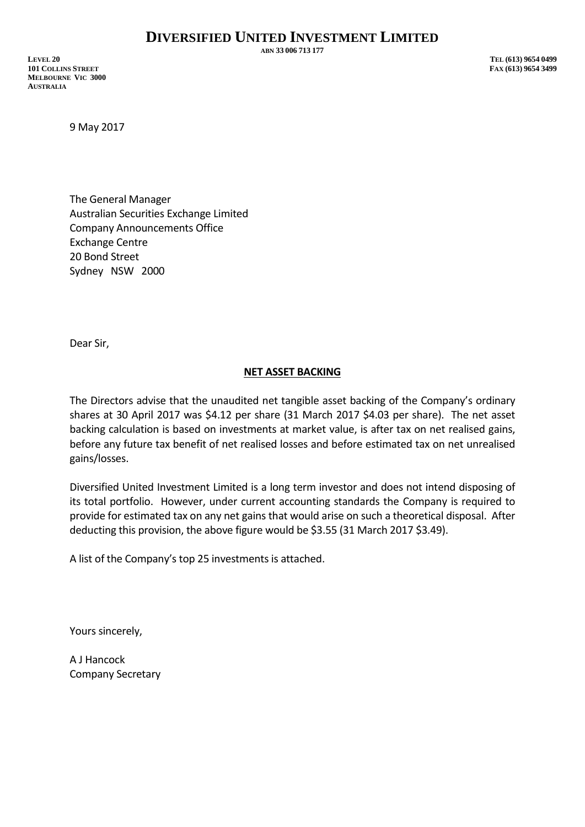**ABN 33 006 713 177**

**LEVEL 20 TEL (613) 9654 0499 101 COLLINS STREET FAX (613) 9654 3499 MELBOURNE VIC 3000 AUSTRALIA**

9 May 2017

The General Manager Australian Securities Exchange Limited Company Announcements Office Exchange Centre 20 Bond Street Sydney NSW 2000

Dear Sir,

## **NET ASSET BACKING**

The Directors advise that the unaudited net tangible asset backing of the Company's ordinary shares at 30 April 2017 was \$4.12 per share (31 March 2017 \$4.03 per share). The net asset backing calculation is based on investments at market value, is after tax on net realised gains, before any future tax benefit of net realised losses and before estimated tax on net unrealised gains/losses.

Diversified United Investment Limited is a long term investor and does not intend disposing of its total portfolio. However, under current accounting standards the Company is required to provide for estimated tax on any net gains that would arise on such a theoretical disposal. After deducting this provision, the above figure would be \$3.55 (31 March 2017 \$3.49).

A list of the Company's top 25 investments is attached.

Yours sincerely,

A J Hancock Company Secretary